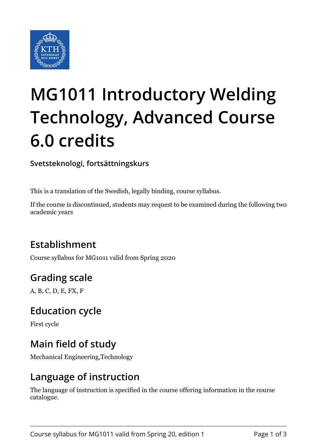

# **MG1011 Introductory Welding Technology, Advanced Course 6.0 credits**

**Svetsteknologi, fortsättningskurs**

This is a translation of the Swedish, legally binding, course syllabus.

If the course is discontinued, students may request to be examined during the following two academic years

# **Establishment**

Course syllabus for MG1011 valid from Spring 2020

# **Grading scale**

A, B, C, D, E, FX, F

#### **Education cycle**

First cycle

## **Main field of study**

Mechanical Engineering,Technology

#### **Language of instruction**

The language of instruction is specified in the course offering information in the course catalogue.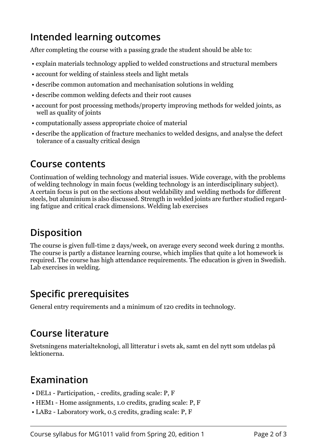## **Intended learning outcomes**

After completing the course with a passing grade the student should be able to:

- explain materials technology applied to welded constructions and structural members
- account for welding of stainless steels and light metals
- describe common automation and mechanisation solutions in welding
- describe common welding defects and their root causes
- account for post processing methods/property improving methods for welded joints, as well as quality of joints
- computationally assess appropriate choice of material
- describe the application of fracture mechanics to welded designs, and analyse the defect tolerance of a casualty critical design

#### **Course contents**

Continuation of welding technology and material issues. Wide coverage, with the problems of welding technology in main focus (welding technology is an interdisciplinary subject). A certain focus is put on the sections about weldability and welding methods for different steels, but aluminium is also discussed. Strength in welded joints are further studied regarding fatigue and critical crack dimensions. Welding lab exercises

# **Disposition**

The course is given full-time 2 days/week, on average every second week during 2 months. The course is partly a distance learning course, which implies that quite a lot homework is required. The course has high attendance requirements. The education is given in Swedish. Lab exercises in welding.

# **Specific prerequisites**

General entry requirements and a minimum of 120 credits in technology.

# **Course literature**

Svetsningens materialteknologi, all litteratur i svets ak, samt en del nytt som utdelas på lektionerna.

## **Examination**

- DEL1 Participation, credits, grading scale: P, F
- HEM1 Home assignments, 1.0 credits, grading scale: P, F
- LAB2 Laboratory work, 0.5 credits, grading scale: P, F